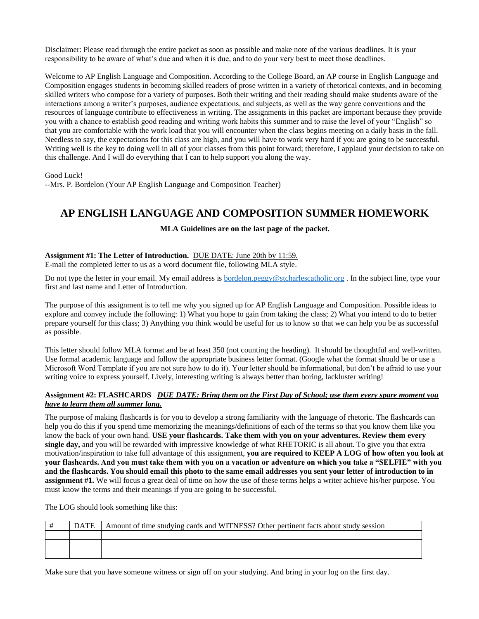Disclaimer: Please read through the entire packet as soon as possible and make note of the various deadlines. It is your responsibility to be aware of what's due and when it is due, and to do your very best to meet those deadlines.

Welcome to AP English Language and Composition. According to the College Board, an AP course in English Language and Composition engages students in becoming skilled readers of prose written in a variety of rhetorical contexts, and in becoming skilled writers who compose for a variety of purposes. Both their writing and their reading should make students aware of the interactions among a writer's purposes, audience expectations, and subjects, as well as the way genre conventions and the resources of language contribute to effectiveness in writing. The assignments in this packet are important because they provide you with a chance to establish good reading and writing work habits this summer and to raise the level of your "English" so that you are comfortable with the work load that you will encounter when the class begins meeting on a daily basis in the fall. Needless to say, the expectations for this class are high, and you will have to work very hard if you are going to be successful. Writing well is the key to doing well in all of your classes from this point forward; therefore, I applaud your decision to take on this challenge. And I will do everything that I can to help support you along the way.

Good Luck!

--Mrs. P. Bordelon (Your AP English Language and Composition Teacher)

# **AP ENGLISH LANGUAGE AND COMPOSITION SUMMER HOMEWORK**

### **MLA Guidelines are on the last page of the packet.**

# **Assignment #1: The Letter of Introduction.** DUE DATE: June 20th by 11:59.

E-mail the completed letter to us as a word document file, following MLA style.

Do not type the letter in your email. My email address is [bordelon.peggy@stcharlescatholic.org](mailto:bordelon.peggy@stcharlescatholic.org). In the subject line, type your first and last name and Letter of Introduction.

The purpose of this assignment is to tell me why you signed up for AP English Language and Composition. Possible ideas to explore and convey include the following: 1) What you hope to gain from taking the class; 2) What you intend to do to better prepare yourself for this class; 3) Anything you think would be useful for us to know so that we can help you be as successful as possible.

This letter should follow MLA format and be at least 350 (not counting the heading). It should be thoughtful and well-written. Use formal academic language and follow the appropriate business letter format. (Google what the format should be or use a Microsoft Word Template if you are not sure how to do it). Your letter should be informational, but don't be afraid to use your writing voice to express yourself. Lively, interesting writing is always better than boring, lackluster writing!

#### **Assignment #2: FLASHCARDS** *DUE DATE: Bring them on the First Day of School; use them every spare moment you have to learn them all summer long.*

The purpose of making flashcards is for you to develop a strong familiarity with the language of rhetoric. The flashcards can help you do this if you spend time memorizing the meanings/definitions of each of the terms so that you know them like you know the back of your own hand. **USE your flashcards. Take them with you on your adventures. Review them every single day,** and you will be rewarded with impressive knowledge of what RHETORIC is all about. To give you that extra motivation/inspiration to take full advantage of this assignment, **you are required to KEEP A LOG of how often you look at your flashcards. And you must take them with you on a vacation or adventure on which you take a "SELFIE" with you and the flashcards. You should email this photo to the same email addresses you sent your letter of introduction to in assignment #1.** We will focus a great deal of time on how the use of these terms helps a writer achieve his/her purpose. You must know the terms and their meanings if you are going to be successful.

The LOG should look something like this:

| <b>DATE</b> | Amount of time studying cards and WITNESS? Other pertinent facts about study session |
|-------------|--------------------------------------------------------------------------------------|
|             |                                                                                      |
|             |                                                                                      |
|             |                                                                                      |

Make sure that you have someone witness or sign off on your studying. And bring in your log on the first day.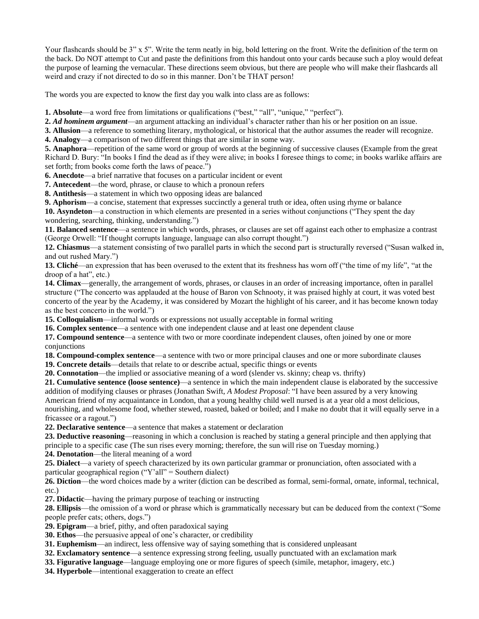Your flashcards should be 3" x 5". Write the term neatly in big, bold lettering on the front. Write the definition of the term on the back. Do NOT attempt to Cut and paste the definitions from this handout onto your cards because such a ploy would defeat the purpose of learning the vernacular. These directions seem obvious, but there are people who will make their flashcards all weird and crazy if not directed to do so in this manner. Don't be THAT person!

The words you are expected to know the first day you walk into class are as follows:

**1. Absolute**—a word free from limitations or qualifications ("best," "all", "unique," "perfect").

**2.** *Ad hominem argument*—an argument attacking an individual's character rather than his or her position on an issue.

**3. Allusion**—a reference to something literary, mythological, or historical that the author assumes the reader will recognize.

**4. Analogy**—a comparison of two different things that are similar in some way.

**5. Anaphora**—repetition of the same word or group of words at the beginning of successive clauses (Example from the great Richard D. Bury: "In books I find the dead as if they were alive; in books I foresee things to come; in books warlike affairs are set forth; from books come forth the laws of peace.")

**6. Anecdote**—a brief narrative that focuses on a particular incident or event

**7. Antecedent**—the word, phrase, or clause to which a pronoun refers

**8. Antithesis**—a statement in which two opposing ideas are balanced

**9. Aphorism**—a concise, statement that expresses succinctly a general truth or idea, often using rhyme or balance

**10. Asyndeton**—a construction in which elements are presented in a series without conjunctions ("They spent the day wondering, searching, thinking, understanding.")

**11. Balanced sentence**—a sentence in which words, phrases, or clauses are set off against each other to emphasize a contrast (George Orwell: "If thought corrupts language, language can also corrupt thought.")

**12. Chiasmus**—a statement consisting of two parallel parts in which the second part is structurally reversed ("Susan walked in, and out rushed Mary.")

**13. Cliché**—an expression that has been overused to the extent that its freshness has worn off ("the time of my life", "at the droop of a hat", etc.)

**14. Climax**—generally, the arrangement of words, phrases, or clauses in an order of increasing importance, often in parallel structure ("The concerto was applauded at the house of Baron von Schnooty, it was praised highly at court, it was voted best concerto of the year by the Academy, it was considered by Mozart the highlight of his career, and it has become known today as the best concerto in the world.")

**15. Colloquialism**—informal words or expressions not usually acceptable in formal writing

**16. Complex sentence**—a sentence with one independent clause and at least one dependent clause

**17. Compound sentence**—a sentence with two or more coordinate independent clauses, often joined by one or more conjunctions

**18. Compound-complex sentence**—a sentence with two or more principal clauses and one or more subordinate clauses

**19. Concrete details**—details that relate to or describe actual, specific things or events

**20. Connotation**—the implied or associative meaning of a word (slender vs. skinny; cheap vs. thrifty)

**21. Cumulative sentence (loose sentence)**—a sentence in which the main independent clause is elaborated by the successive addition of modifying clauses or phrases (Jonathan Swift, *A Modest Proposal*: "I have been assured by a very knowing American friend of my acquaintance in London, that a young healthy child well nursed is at a year old a most delicious, nourishing, and wholesome food, whether stewed, roasted, baked or boiled; and I make no doubt that it will equally serve in a fricassee or a ragout.")

**22. Declarative sentence**—a sentence that makes a statement or declaration

**23. Deductive reasoning**—reasoning in which a conclusion is reached by stating a general principle and then applying that principle to a specific case (The sun rises every morning; therefore, the sun will rise on Tuesday morning.)

**24. Denotation**—the literal meaning of a word

**25. Dialect**—a variety of speech characterized by its own particular grammar or pronunciation, often associated with a particular geographical region ("Y'all" = Southern dialect)

**26. Diction**—the word choices made by a writer (diction can be described as formal, semi-formal, ornate, informal, technical, etc.)

**27. Didactic**—having the primary purpose of teaching or instructing

**28. Ellipsis**—the omission of a word or phrase which is grammatically necessary but can be deduced from the context ("Some people prefer cats; others, dogs.")

**29. Epigram**—a brief, pithy, and often paradoxical saying

**30. Ethos**—the persuasive appeal of one's character, or credibility

**31. Euphemism**—an indirect, less offensive way of saying something that is considered unpleasant

**32. Exclamatory sentence**—a sentence expressing strong feeling, usually punctuated with an exclamation mark

**33. Figurative language**—language employing one or more figures of speech (simile, metaphor, imagery, etc.)

**34. Hyperbole**—intentional exaggeration to create an effect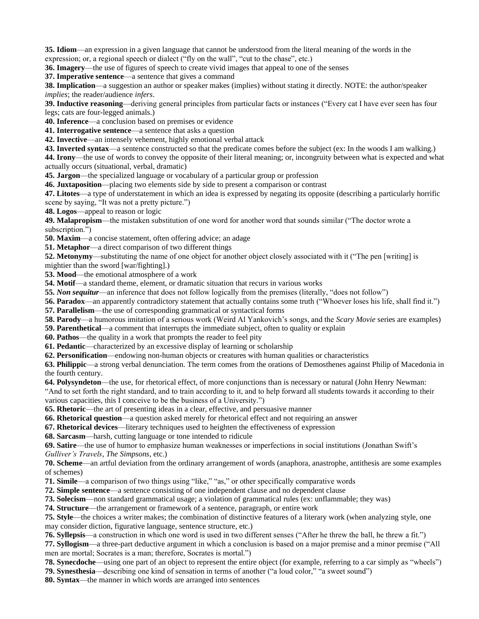**35. Idiom**—an expression in a given language that cannot be understood from the literal meaning of the words in the expression; or, a regional speech or dialect ("fly on the wall", "cut to the chase", etc.)

**36. Imagery**—the use of figures of speech to create vivid images that appeal to one of the senses

**37. Imperative sentence**—a sentence that gives a command

**38. Implication**—a suggestion an author or speaker makes (implies) without stating it directly. NOTE: the author/speaker *implies*; the reader/audience *infers*.

**39. Inductive reasoning**—deriving general principles from particular facts or instances ("Every cat I have ever seen has four legs; cats are four-legged animals.)

**40. Inference**—a conclusion based on premises or evidence

**41. Interrogative sentence**—a sentence that asks a question

**42. Invective**—an intensely vehement, highly emotional verbal attack

**43. Inverted syntax**—a sentence constructed so that the predicate comes before the subject (ex: In the woods I am walking.)

**44. Irony**—the use of words to convey the opposite of their literal meaning; or, incongruity between what is expected and what actually occurs (situational, verbal, dramatic)

**45. Jargon**—the specialized language or vocabulary of a particular group or profession

**46. Juxtaposition**—placing two elements side by side to present a comparison or contrast

**47. Litotes**—a type of understatement in which an idea is expressed by negating its opposite (describing a particularly horrific scene by saying, "It was not a pretty picture.")

**48. Logos**—appeal to reason or logic

**49. Malapropism**—the mistaken substitution of one word for another word that sounds similar ("The doctor wrote a subscription.")

**50. Maxim**—a concise statement, often offering advice; an adage

**51. Metaphor**—a direct comparison of two different things

**52. Metonymy—substituting the name of one object for another object closely associated with it ("The pen [writing] is** mightier than the sword [war/fighting].)

**53. Mood**—the emotional atmosphere of a work

**54. Motif**—a standard theme, element, or dramatic situation that recurs in various works

**55.** *Non sequitur*—an inference that does not follow logically from the premises (literally, "does not follow")

**56. Paradox**—an apparently contradictory statement that actually contains some truth ("Whoever loses his life, shall find it.")

**57. Parallelism**—the use of corresponding grammatical or syntactical forms

**58. Parody**—a humorous imitation of a serious work (Weird Al Yankovich's songs, and the *Scary Movie* series are examples)

**59. Parenthetical**—a comment that interrupts the immediate subject, often to quality or explain

**60. Pathos**—the quality in a work that prompts the reader to feel pity

**61. Pedantic**—characterized by an excessive display of learning or scholarship

**62. Personification**—endowing non-human objects or creatures with human qualities or characteristics

**63. Philippic**—a strong verbal denunciation. The term comes from the orations of Demosthenes against Philip of Macedonia in the fourth century.

**64. Polysyndeton**—the use, for rhetorical effect, of more conjunctions than is necessary or natural (John Henry Newman:

"And to set forth the right standard, and to train according to it, and to help forward all students towards it according to their various capacities, this I conceive to be the business of a University.")

**65. Rhetoric—the art of presenting ideas in a clear, effective, and persuasive manner** 

**66. Rhetorical question**—a question asked merely for rhetorical effect and not requiring an answer

**67. Rhetorical devices**—literary techniques used to heighten the effectiveness of expression

**68. Sarcasm**—harsh, cutting language or tone intended to ridicule

**69. Satire**—the use of humor to emphasize human weaknesses or imperfections in social institutions (Jonathan Swift's *Gulliver's Travels*, *The Simpsons*, etc.)

**70. Scheme**—an artful deviation from the ordinary arrangement of words (anaphora, anastrophe, antithesis are some examples of schemes)

**71. Simile**—a comparison of two things using "like," "as," or other specifically comparative words

**72. Simple sentence**—a sentence consisting of one independent clause and no dependent clause

**73. Solecism**—non standard grammatical usage; a violation of grammatical rules (ex: unflammable; they was)

**74. Structure**—the arrangement or framework of a sentence, paragraph, or entire work

**75. Style**—the choices a writer makes; the combination of distinctive features of a literary work (when analyzing style, one may consider diction, figurative language, sentence structure, etc.)

**76. Syllepsis**—a construction in which one word is used in two different senses ("After he threw the ball, he threw a fit.")

**77. Syllogism**—a three-part deductive argument in which a conclusion is based on a major premise and a minor premise ("All men are mortal; Socrates is a man; therefore, Socrates is mortal.")

**78. Synecdoche**—using one part of an object to represent the entire object (for example, referring to a car simply as "wheels")

**79. Synesthesia**—describing one kind of sensation in terms of another ("a loud color," "a sweet sound")

**80. Syntax**—the manner in which words are arranged into sentences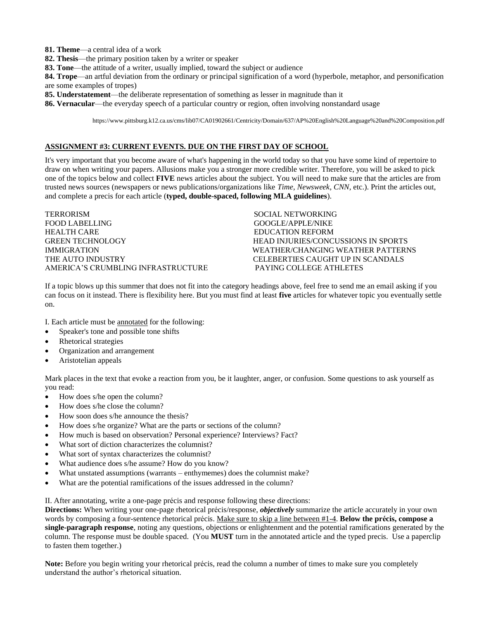- **81. Theme**—a central idea of a work
- **82. Thesis**—the primary position taken by a writer or speaker
- **83. Tone**—the attitude of a writer, usually implied, toward the subject or audience
- **84. Trope**—an artful deviation from the ordinary or principal signification of a word (hyperbole, metaphor, and personification are some examples of tropes)
- **85. Understatement**—the deliberate representation of something as lesser in magnitude than it
- **86. Vernacular**—the everyday speech of a particular country or region, often involving nonstandard usage

https://www.pittsburg.k12.ca.us/cms/lib07/CA01902661/Centricity/Domain/637/AP%20English%20Language%20and%20Composition.pdf

#### **ASSIGNMENT #3: CURRENT EVENTS. DUE ON THE FIRST DAY OF SCHOOL**

It's very important that you become aware of what's happening in the world today so that you have some kind of repertoire to draw on when writing your papers. Allusions make you a stronger more credible writer. Therefore, you will be asked to pick one of the topics below and collect **FIVE** news articles about the subject. You will need to make sure that the articles are from trusted news sources (newspapers or news publications/organizations like *Time*, *Newsweek*, *CNN*, etc.). Print the articles out, and complete a precis for each article (**typed, double-spaced, following MLA guidelines**).

TERRORISM SOCIAL NETWORKING FOOD LABELLING GOOGLE/APPLE/NIKE HEALTH CARE EDUCATION REFORM GREEN TECHNOLOGY **HEAD INJURIES/CONCUSSIONS IN SPORTS** IMMIGRATION WEATHER/CHANGING WEATHER PATTERNS THE AUTO INDUSTRY **CELEBERTIES CAUGHT UP IN SCANDALS** AMERICA'S CRUMBLING INFRASTRUCTURE PAYING COLLEGE ATHLETES

If a topic blows up this summer that does not fit into the category headings above, feel free to send me an email asking if you can focus on it instead. There is flexibility here. But you must find at least **five** articles for whatever topic you eventually settle on.

I. Each article must be annotated for the following:

- Speaker's tone and possible tone shifts
- Rhetorical strategies
- Organization and arrangement
- Aristotelian appeals

Mark places in the text that evoke a reaction from you, be it laughter, anger, or confusion. Some questions to ask yourself as you read:

- How does s/he open the column?
- How does s/he close the column?
- How soon does s/he announce the thesis?
- How does s/he organize? What are the parts or sections of the column?
- How much is based on observation? Personal experience? Interviews? Fact?
- What sort of diction characterizes the columnist?
- What sort of syntax characterizes the columnist?
- What audience does s/he assume? How do you know?
- What unstated assumptions (warrants enthymemes) does the columnist make?
- What are the potential ramifications of the issues addressed in the column?

II. After annotating, write a one-page précis and response following these directions:

**Directions:** When writing your one-page rhetorical précis/response, *objectively* summarize the article accurately in your own words by composing a four-sentence rhetorical précis. Make sure to skip a line between #1-4. **Below the précis, compose a single-paragraph response**, noting any questions, objections or enlightenment and the potential ramifications generated by the column. The response must be double spaced. (You **MUST** turn in the annotated article and the typed precis. Use a paperclip to fasten them together.)

**Note:** Before you begin writing your rhetorical précis, read the column a number of times to make sure you completely understand the author's rhetorical situation.